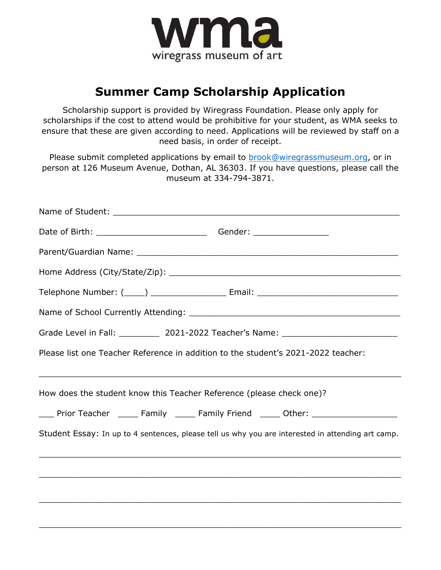

# **Summer Camp Scholarship Application**

Scholarship support is provided by Wiregrass Foundation. Please only apply for scholarships if the cost to attend would be prohibitive for your student, as WMA seeks to ensure that these are given according to need. Applications will be reviewed by staff on a need basis, in order of receipt.

Please submit completed applications by email to **brook@wiregrassmuseum.org**, or in person at 126 Museum Avenue, Dothan, AL 36303. If you have questions, please call the museum at 334-794-3871.

| Grade Level in Fall: _____________ 2021-2022 Teacher's Name: ____________________ |                                                                                                   |
|-----------------------------------------------------------------------------------|---------------------------------------------------------------------------------------------------|
| Please list one Teacher Reference in addition to the student's 2021-2022 teacher: |                                                                                                   |
| How does the student know this Teacher Reference (please check one)?              |                                                                                                   |
|                                                                                   | ____ Prior Teacher ______ Family _____ Family Friend _____ Other: ______________                  |
|                                                                                   | Student Essay: In up to 4 sentences, please tell us why you are interested in attending art camp. |
|                                                                                   |                                                                                                   |
|                                                                                   |                                                                                                   |
|                                                                                   |                                                                                                   |
|                                                                                   |                                                                                                   |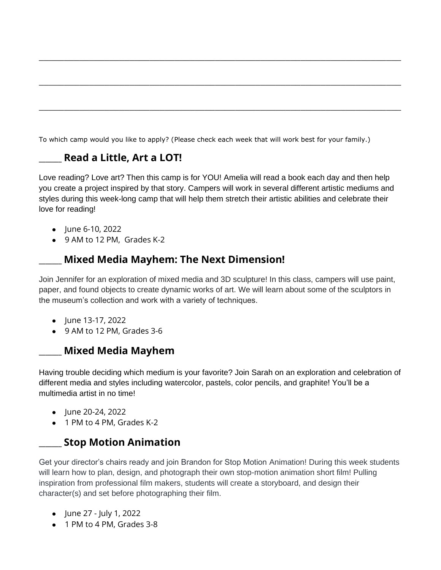To which camp would you like to apply? (Please check each week that will work best for your family.)

## **\_\_\_\_\_\_\_ Read a Little, Art a LOT!**

Love reading? Love art? Then this camp is for YOU! Amelia will read a book each day and then help you create a project inspired by that story. Campers will work in several different artistic mediums and styles during this week-long camp that will help them stretch their artistic abilities and celebrate their love for reading!

\_\_\_\_\_\_\_\_\_\_\_\_\_\_\_\_\_\_\_\_\_\_\_\_\_\_\_\_\_\_\_\_\_\_\_\_\_\_\_\_\_\_\_\_\_\_\_\_\_\_\_\_\_\_\_\_\_\_\_\_\_\_\_\_\_\_\_\_\_\_\_\_

\_\_\_\_\_\_\_\_\_\_\_\_\_\_\_\_\_\_\_\_\_\_\_\_\_\_\_\_\_\_\_\_\_\_\_\_\_\_\_\_\_\_\_\_\_\_\_\_\_\_\_\_\_\_\_\_\_\_\_\_\_\_\_\_\_\_\_\_\_\_\_\_

 $\_$  , and the contribution of the contribution of  $\mathcal{L}_\mathcal{A}$  , and the contribution of  $\mathcal{L}_\mathcal{A}$ 

- June 6-10, 2022
- 9 AM to 12 PM, Grades K-2

### **\_\_\_\_\_\_\_ Mixed Media Mayhem: The Next Dimension!**

Join Jennifer for an exploration of mixed media and 3D sculpture! In this class, campers will use paint, paper, and found objects to create dynamic works of art. We will learn about some of the sculptors in the museum's collection and work with a variety of techniques.

- June 13-17, 2022
- 9 AM to 12 PM, Grades 3-6

#### **\_\_\_\_\_\_\_ Mixed Media Mayhem**

Having trouble deciding which medium is your favorite? Join Sarah on an exploration and celebration of different media and styles including watercolor, pastels, color pencils, and graphite! You'll be a multimedia artist in no time!

- June 20-24, 2022
- 1 PM to 4 PM, Grades K-2

#### **\_\_\_\_\_\_\_ Stop Motion Animation**

Get your director's chairs ready and join Brandon for Stop Motion Animation! During this week students will learn how to plan, design, and photograph their own stop-motion animation short film! Pulling inspiration from professional film makers, students will create a storyboard, and design their character(s) and set before photographing their film.

- June 27 July 1, 2022
- 1 PM to 4 PM, Grades 3-8